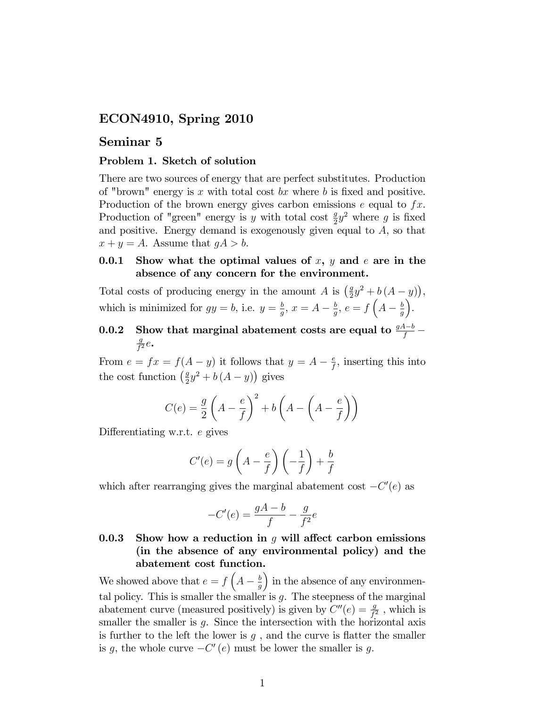# ECON4910, Spring 2010

# Seminar 5

### Problem 1. Sketch of solution

There are two sources of energy that are perfect substitutes. Production of "brown" energy is  $x$  with total cost  $bx$  where  $b$  is fixed and positive. Production of the brown energy gives carbon emissions  $e$  equal to  $fx$ . Production of "green" energy is y with total cost  $\frac{g}{2}y^2$  where g is fixed and positive. Energy demand is exogenously given equal to  $A$ , so that  $x + y = A$ . Assume that  $gA > b$ .

### 0.0.1 Show what the optimal values of x, y and e are in the absence of any concern for the environment.

Total costs of producing energy in the amount A is  $\left(\frac{g}{2}\right)$  $rac{g}{2}y^2 + b(A - y)),$ which is minimized for  $gy = b$ , i.e.  $y = \frac{b}{a}$  $\frac{b}{g}$ ,  $x = A - \frac{b}{g}$  $\frac{b}{g}, e = f\left(A - \frac{b}{g}\right)$ g .

#### 0.0.2 Show that marginal abatement costs are equal to  $\frac{gA-b}{f}$  – g  $\frac{g}{f^2}e$ .

From  $e = fx = f(A - y)$  it follows that  $y = A - \frac{e}{f}$  $\frac{e}{f}$ , inserting this into the cost function  $\left(\frac{g}{2}\right)$  $\frac{g}{2}y^2 + b(A - y)$  gives

$$
C(e) = \frac{g}{2} \left( A - \frac{e}{f} \right)^2 + b \left( A - \left( A - \frac{e}{f} \right) \right)
$$

Differentiating w.r.t.  $e$  gives

$$
C'(e) = g\left(A - \frac{e}{f}\right)\left(-\frac{1}{f}\right) + \frac{b}{f}
$$

which after rearranging gives the marginal abatement cost  $-C'(e)$  as

$$
-C'(e) = \frac{gA - b}{f} - \frac{g}{f^2}e
$$

# 0.0.3 Show how a reduction in  $q$  will affect carbon emissions (in the absence of any environmental policy) and the abatement cost function.

We showed above that  $e = f\left(A - \frac{b}{g}\right)$ g ) in the absence of any environmental policy. This is smaller the smaller is  $g$ . The steepness of the marginal abatement curve (measured positively) is given by  $C''(e) = \frac{g}{f^2}$ , which is smaller the smaller is  $g$ . Since the intersection with the horizontal axis is further to the left the lower is  $g$ , and the curve is flatter the smaller is g, the whole curve  $-C'(e)$  must be lower the smaller is g.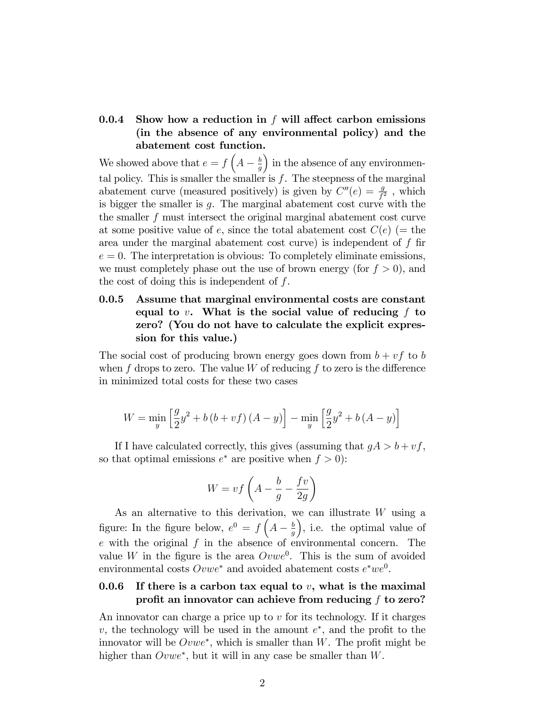# 0.0.4 Show how a reduction in  $f$  will affect carbon emissions (in the absence of any environmental policy) and the abatement cost function.

We showed above that  $e = f\left(A - \frac{b}{g}\right)$ g ) in the absence of any environmental policy. This is smaller the smaller is  $f$ . The steepness of the marginal abatement curve (measured positively) is given by  $C''(e) = \frac{g}{f^2}$ , which is bigger the smaller is  $g$ . The marginal abatement cost curve with the the smaller f must intersect the original marginal abatement cost curve at some positive value of e, since the total abatement cost  $C(e)$  (= the area under the marginal abatement cost curve) is independent of f fir  $e = 0$ . The interpretation is obvious: To completely eliminate emissions, we must completely phase out the use of brown energy (for  $f > 0$ ), and the cost of doing this is independent of  $f$ .

# 0.0.5 Assume that marginal environmental costs are constant equal to v. What is the social value of reducing  $f$  to zero? (You do not have to calculate the explicit expression for this value.)

The social cost of producing brown energy goes down from  $b + v f$  to b when f drops to zero. The value  $W$  of reducing f to zero is the difference in minimized total costs for these two cases

$$
W = \min_{y} \left[ \frac{g}{2} y^2 + b (b + vf) (A - y) \right] - \min_{y} \left[ \frac{g}{2} y^2 + b (A - y) \right]
$$

If I have calculated correctly, this gives (assuming that  $gA > b + vf$ , so that optimal emissions  $e^*$  are positive when  $f > 0$ :

$$
W = vf \left( A - \frac{b}{g} - \frac{fv}{2g} \right)
$$

As an alternative to this derivation, we can illustrate W using a figure: In the figure below,  $e^0 = f\left(A - \frac{b}{g}\right)$ g , i.e. the optimal value of  $e$  with the original  $f$  in the absence of environmental concern. The value W in the figure is the area  $Ovwe^0$ . This is the sum of avoided environmental costs  $Ovwe^*$  and avoided abatement costs  $e^*we^0$ .

# 0.0.6 If there is a carbon tax equal to  $v$ , what is the maximal profit an innovator can achieve from reducing  $f$  to zero?

An innovator can charge a price up to  $v$  for its technology. If it charges  $v$ , the technology will be used in the amount  $e^*$ , and the profit to the innovator will be  $Ovwe^*$ , which is smaller than W. The profit might be higher than  $Ovwe^*$ , but it will in any case be smaller than  $W$ .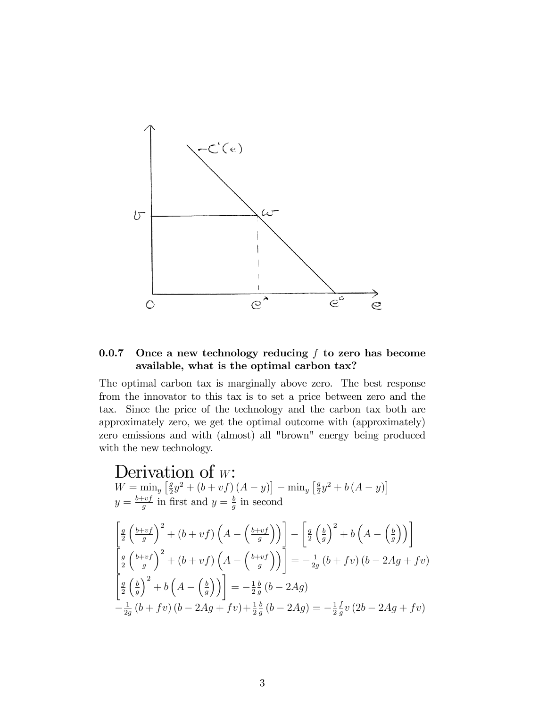

### 0.0.7 Once a new technology reducing  $f$  to zero has become available, what is the optimal carbon tax?

The optimal carbon tax is marginally above zero. The best response from the innovator to this tax is to set a price between zero and the tax. Since the price of the technology and the carbon tax both are approximately zero, we get the optimal outcome with (approximately) zero emissions and with (almost) all "brown" energy being produced with the new technology.

Derivation of  $w$ :  $W = \min_y \left[\frac{g}{2}\right]$  $\frac{g}{2}y^2 + (b + vf)(A - y) - \min_y \left[\frac{g}{2}\right]$  $\frac{g}{2}y^2 + b(A - y)$  $y = \frac{b+vf}{a}$  $\frac{y-f}{g}$  in first and  $y=\frac{b}{g}$  $\frac{b}{g}$  in second  $\int_{a}$ 2  $\int b+v f$ g  $\int_0^2 + (b + v f) \left( A - \left( \frac{b + v f}{g} \right) \right)$ g  $\setminus$ Γ  $\int_{a}$ 2  $\int$ g  $\bigg)^2 + b\left(A - \left(\frac{b}{g}\right)$ g  $\setminus$  $\bar{a}$ 2  $\int b+v f$ g  $\int_0^2 + (b + v f) \left( A - \left( \frac{b + v f}{g} \right) \right)$ g ١١Ī  $=-\frac{1}{2g}$  $\frac{1}{2g}(b+fv)(b-2Ag+fv)$  $\bar{a}$ 2  $\int_{a}$ g  $\bigg)^2 + b\left(A - \left(\frac{b}{g}\right)$ g  $\setminus$  $=-\frac{1}{2}$ 2 b  $\frac{b}{g} (b - 2Ag)$  $-\frac{1}{2\varrho}$  $\frac{1}{2g}(b+fv)(b-2Ag+fv)+\frac{1}{2}$ b  $\frac{b}{g}(b - 2Ag) = -\frac{1}{2}$ 2 f  $\frac{f}{g}v(2b-2Ag+fv)$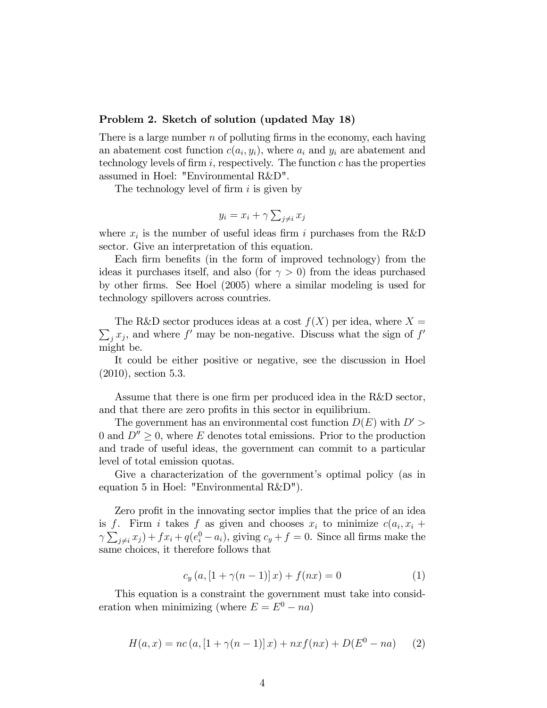#### Problem 2. Sketch of solution (updated May 18)

There is a large number  $n$  of polluting firms in the economy, each having an abatement cost function  $c(a_i, y_i)$ , where  $a_i$  and  $y_i$  are abatement and technology levels of firm  $i$ , respectively. The function  $c$  has the properties assumed in Hoel: "Environmental R&D".

The technology level of firm  $i$  is given by

$$
y_i = x_i + \gamma \sum_{j \neq i} x_j
$$

where  $x_i$  is the number of useful ideas firm i purchases from the R&D sector. Give an interpretation of this equation.

Each firm benefits (in the form of improved technology) from the ideas it purchases itself, and also (for  $\gamma > 0$ ) from the ideas purchased by other Örms. See Hoel (2005) where a similar modeling is used for technology spillovers across countries.

 $\sum_j x_j$ , and where f' may be non-negative. Discuss what the sign of f' The R&D sector produces ideas at a cost  $f(X)$  per idea, where  $X =$ might be.

It could be either positive or negative, see the discussion in Hoel (2010), section 5.3.

Assume that there is one firm per produced idea in the R&D sector, and that there are zero profits in this sector in equilibrium.

The government has an environmental cost function  $D(E)$  with  $D'$ 0 and  $D'' \geq 0$ , where E denotes total emissions. Prior to the production and trade of useful ideas, the government can commit to a particular level of total emission quotas.

Give a characterization of the government's optimal policy (as in equation 5 in Hoel: "Environmental R&D").

Zero profit in the innovating sector implies that the price of an idea is f. Firm i takes f as given and chooses  $x_i$  to minimize  $c(a_i, x_i +$  $\gamma \sum_{j \neq i} x_j + fx_i + q(e_i^0 - a_i)$ , giving  $c_y + f = 0$ . Since all firms make the same choices, it therefore follows that

$$
c_y(a, [1 + \gamma(n-1)]x) + f(nx) = 0
$$
 (1)

This equation is a constraint the government must take into consideration when minimizing (where  $E = E^0 - na$ )

$$
H(a,x) = nc (a, [1 + \gamma(n-1)]x) + nxf(nx) + D(E0 - na)
$$
 (2)